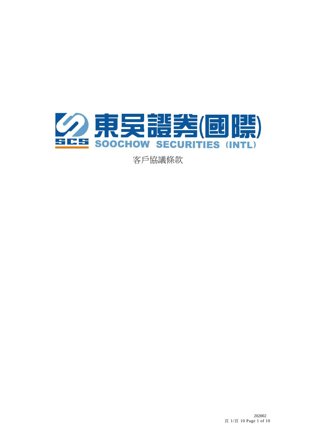

客戶協議條款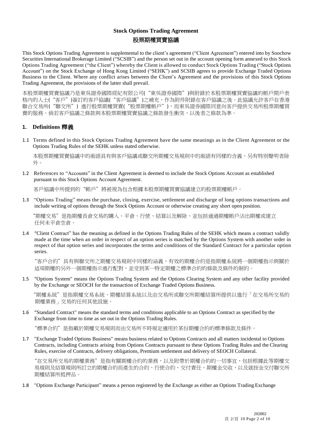# **Stock Options Trading Agreement** 股票期權買賣協議

This Stock Options Trading Agreement is supplemental to the client's agreement ("Client Agreement") entered into by Soochow Securities International Brokerage Limited ("SCSIB") and the person set out in the account opening form annexed to this Stock Options Trading Agreement ("the Client") whereby the Client is allowed to conduct Stock Options Trading ("Stock Options Account") on the Stock Exchange of Hong Kong Limited ("SEHK") and SCSIB agrees to provide Exchange Traded Options Business to the Client. Where any conflict arises between the Client's Agreement and the provisions of this Stock Options Trading Agreement, the provisions of the latter shall prevail.

本股票期權買賣協議乃是東吳證券國際經紀有限公司("東吳證券國際")與附錄於本股票期權買賣協議的帳戶開戶表 格內的人士("客戶")簽訂的客戶協議("客戶協議")之補充,作為附件附錄在客戶協議之後。此協議允許客戶在香港 聯合交易所("聯交所") 進行股票期權買賣("股票期權帳戶"),而東吳證券國際同意向客戶提供交易所股票期權買 賣的服務。倘若客戶協議之條款與本股票期權買賣協議之條款發生衝突,以後者之條款為準。

## **1. Definitions** 釋義

1.1 Terms defined in this Stock Options Trading Agreement have the same meanings as in the Client Agreement or the Options Trading Rules of the SEHK unless stated otherwise.

本股票期權買賣協議中的術語具有與客戶協議或聯交所期權交易規則中的術語有同樣的含義,另有特別聲明者除 外。

1.2 References to "Accounts" in the Client Agreement is deemed to include the Stock Options Account as established pursuant to this Stock Options Account Agreement.

客戶協議中所提到的"帳戶"將被視為包含根據本股票期權買賣協議建立的股票期權帳戶。

1.3 "Options Trading" means the purchase, closing, exercise, settlement and discharge of long options transactions and include writing of options through the Stock Options Account or otherwise creating any short open position.

"期權交易"是指期權長倉交易的購入、平倉、行使、結算以及解除,並包括通過期權帳戶沽出期權或建立 任何未平倉空倉。

1.4 "Client Contract" has the meaning as defined in the Options Trading Rules of the SEHK which means a contract validly made at the time when an order in respect of an option series is matched by the Options System with another order in respect of that option series and incorporates the terms and conditions of the Standard Contract for a particular option series.

"客戶合約"具有與聯交所之期權交易規則中同樣的涵義,有效的期權合約是指期權系統將一個期權指示與關於 這項期權的另外一個期權指示進行配對,並受到某一特定期權之標準合約的條款及條件的制約。

1.5 "Options System" means the Options Trading System and the Options Clearing System and any other facility provided by the Exchange or SEOCH for the transaction of Exchange Traded Options Business.

"期權系統"是指期權交易系統、期權結算系統以及由交易所或聯交所期權結算所提供以進行「在交易所交易的 期權業務」交易的任何其他設施。

1.6 "Standard Contract" means the standard terms and conditions applicable to an Options Contract as specified by the Exchange from time to time as set out in the Options Trading Rules.

"標準合約"是指載於期權交易規則而由交易所不時規定適用於某份期權合約的標準條款及條件。

1.7 "Exchange Traded Options Business" means business related to Options Contracts and all matters incidental to Options Contracts, including Contracts arising from Options Contracts pursuant to these Options Trading Rules and the Clearing Rules, exercise of Contracts, delivery obligations, Premium settlement and delivery of SEOCH Collateral.

"在交易所交易的期權業務"是指有關期權合約的業務,以及附帶於期權合約的一切事宜,包括根據此等期權交 易規則及結算規則所訂立的期權合約而產生的合約、行使合約、交付責任、期權金交收,以及就按金交付聯交所 期權結算所抵押品。

1.8 "Options Exchange Participant" means a person registered by the Exchange as either an Options Trading Exchange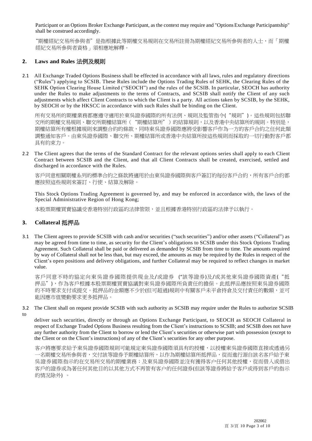Participant or an Options Broker Exchange Participant, as the context may require and "Options Exchange Participantship" shall be construed accordingly.

"期權經紀交易所參與者"是指根據此等期權交易規則在交易所註冊為期權經紀交易所參與者的人士,而「期權 經紀交易所參與者資格」須相應地解釋。

## **2. Laws and Rules** 法例及規則

2.1 All Exchange Traded Options Business shall be effected in accordance with all laws, rules and regulatory directions ("Rules") applying to SCSIB. These Rules include the Options Trading Rules of SEHK, the Clearing Rules of the SEHK Option Clearing House Limited ("SEOCH") and the rules of the SCSIB. In particular, SEOCH has authority under the Rules to make adjustments to the terms of Contracts, and SCSIB shall notify the Client of any such adjustments which affect Client Contracts to which the Client is a party. All actions taken by SCSIB, by the SEHK, by SEOCH or by the HKSCC in accordance with such Rules shall be binding on the Client.

所有交易所的期權業務都應遵守適用於東吳證券國際的所有法例、規則及監管指令("規則")。這些規則包括聯 交所的期權交易規則、聯交所期權結算所("期權結算所")的結算規則,以及香港中央結算所的規則。特別是, 期權結算所有權根據規則來調整合約的條款,同時東吳證券國際應將受影響客戶作為一方的客戶合約之任何此類 調整通知客戶。由東吳證券國際、聯交所、期權結算所或香港中央結算所按這些規則而採取的一切行動對客戶都 具有約束力。

2.2 The Client agrees that the terms of the Standard Contract for the relevant options series shall apply to each Client Contract between SCSIB and the Client, and that all Client Contracts shall be created, exercised, settled and discharged in accordance with the Rules.

客戶同意相關期權系列的標準合約之條款將適用於由東吳證券國際與客戶簽訂的每份客戶合約,所有客戶合約都 應按照這些規則來簽訂、行使、結算及解除。

This Stock Options Trading Agreement is governed by, and may be enforced in accordance with, the laws of the Special Administrative Region of Hong Kong;

本股票期權買賣協議受香港特別行政區的法律管限,並且根據香港特別行政區的法律予以執行。

## **3. Collateral** 抵押品

3.1 The Client agrees to provide SCSIB with cash and/or securities ("such securities") and/or other assets ("Collateral") as may be agreed from time to time, as security for the Client's obligations to SCSIB under this Stock Options Trading Agreement. Such Collateral shall be paid or delivered as demanded by SCSIB from time to time. The amounts required by way of Collateral shall not be less than, but may exceed, the amounts as may be required by the Rules in respect of the Client's open positions and delivery obligations, and further Collateral may be required to reflect changes in market value.

客戶同意不時的協定向東吳證券國際提供現金及/或證券 ("該等證券)及/或其他東吳證券國際資產("抵 押品"),作為客戶根據本股票期權買賣協議對東吳證券國際所負責任的擔保。此抵押品應按照東吳證券國際 的不時要求支付或提交。抵押品的金額應不少於(但可超過)規則中有關客戶未平倉持倉及交付責任的數額,並可 能因應市值變動要求更多抵押品。

3.2 The Client shall on request provide SCSIB with such authority as SCSIB may require under the Rules to authorize SCSIB to

deliver such securities, directly or through an Options Exchange Participant, to SEOCH as SEOCH Collateral in respect of Exchange Traded Options Business resulting from the Client's instructions to SCSIB; and SCSIB does not have any further authority from the Client to borrow or lend the Client's securities or otherwise part with possession (except to the Client or on the Client's instructions) of any of the Client's securities for any other purpose.

客户將應要求給予東吳證券國際現在東吳證券國際須具有的授權,以授權東吳證券國際直接或透過另 一名期權交易所參與者,交付該等證券予期權結算所,以作為期權結算所抵押品,從而進行源自該名客戶給予東 吳證券國際指示的在交易所交易的期權業務;及東吳證券國際並沒有獲得客户任何其他授權,從而借入或借出 客戶的證券或為著任何其他目的以其他方式不再管有客户的任何證券(但該等證券將給予客戶或得到客戶的指示 的情况除外) 。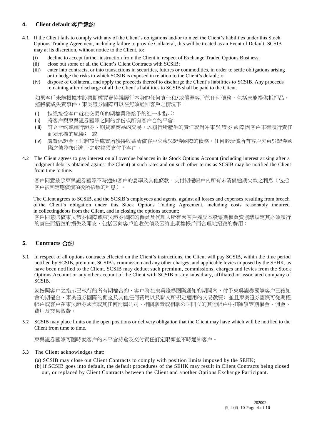# **4. Client default** 客戶違約

- 4.1 If the Client fails to comply with any of the Client's obligations and/or to meet the Client's liabilities under this Stock Options Trading Agreement, including failure to provide Collateral, this will be treated as an Event of Default, SCSIB may at its discretion, without notice to the Client, to:
	- (i) decline to accept further instruction from the Client in respect of Exchange Traded Options Business;
	- (ii) close out some or all the Client's Client Contracts with SCSIB;
	- (iii) enter into contracts, or into transactions in securities, futures or commodities, in order to settle obligations arising or to hedge the risks to which SCSIB is exposed in relation to the Client's default; or
	- (iv) dispose of Collateral, and apply the proceeds thereof to discharge the Client's liabilities to SCSIB. Any proceeds remaining after discharge of all the Client's liabilities to SCSIB shall be paid to the Client.

如果客戶未能根據本股票期權買賣協議履行本身的任何責任和/或償還客戶的任何債務,包括未能提供抵押品, 這將構成失責事件,東吳證券國際可以在無須通知客戶之情況下:

- (i) 拒絕接受客户就在交易所的期權業務給予的進一步指示;
- (ii) 將客户與東吳證券國際之間的部份或所有客户合約平倉;
- (iii) 訂立合約或進行證券、期貨或商品的交易,以履行所產生的責任或對冲東吳證券國際因客户末有履行責任 而須承擔的風險﹔ 或
- (iv) 處置保證金,並將該等處置所獲得收益清償客户欠東吳證券國際的債務。任何於清償所有客户欠東吳證券國 際之債務後所剩下之收益須支付予客户。
- 4.2 The Client agrees to pay interest on all overdue balances in its Stock Options Account (including interest arising after a judgment debt is obtained against the Client) at such rates and on such other terms as SCSIB may be notified the Client from time to time.

客户同意按照東吳證券國際不時通知客户的息率及其他條款,支付期權帳户內所有未清償逾期欠款之利息(包括 客户被判定應償債項後所招致的利息)。

The Client agrees to SCSIB, and the SCSIB's employees and agents, against all losses and expenses resulting from breach of the Client's obligation under this Stock Options Trading Agreement, including costs reasonably incurred in collectingdebts from the Client, and in closing the options account; 客戶同意賠償東吳證券國際或東吳證券國際的僱員及代理人所有因客戶違反本股票期權買賣協議規定其必須履行

的責任而招致的損失及開支,包括因向客戶追收欠債及因終止期權帳戶而合理地招致的費用;

# **5. Contracts** 合約

5.1 In respect of all options contracts effected on the Client's instructions, the Client will pay SCSIB, within the time period notified by SCSIB, premium, SCSIB's commission and any other charges, and applicable levies imposed by the SEHK, as have been notified to the Client. SCSIB may deduct such premium, commissions, charges and levies from the Stock Options Account or any other account of the Client with SCSIB or any subsidiary, affiliated or associated company of SCSIB.

就按照客户之指示己執行的所有期權合約,客户將在東吳證券國際通知的期間內,付予東吳證券國際客户已獲知 會的期權金、東吳證券國際的佣金及其他任何費用以及聯交所規定適用的交易徵費;並且東吳證券國際可從期權 帳户或客户在東吳證券國際或其任何附屬公司、相關聯營或相聯公司開立的其他帳户中扣除該等期權金、佣金、 費用及交易徵費。

5.2 SCSIB may place limits on the open positions or delivery obligation that the Client may have which will be notified to the Client from time to time.

東吳證券國際可隨時就客户的未平倉持倉及交付責任訂定限額並不時通知客户。

## 5.3 The Client acknowledges that:

(a) SCSIB may close out Client Contracts to comply with position limits imposed by the SEHK;

(b) if SCSIB goes into default, the default procedures of the SEHK may result in Client Contracts being closed out, or replaced by Client Contracts between the Client and another Options Exchange Participant.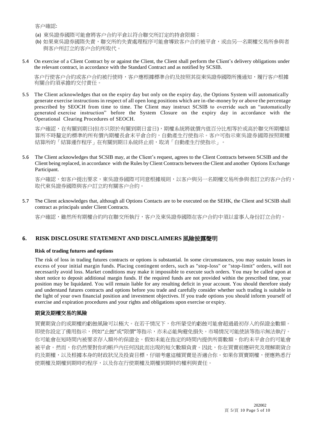客户確認:

- (a) 東吳證券國際可能會將客户合約平倉以符合聯交所訂定的持倉限額;
- (b) 如果東吳證券國際失責,聯交所的失責處理程序可能會導致客户合約被平倉,或由另一名期權交易所參與者 與客户所訂立的客户合約所取代。
- 5.4 On exercise of a Client Contract by or against the Client, the Client shall perform the Client's delivery obligations under the relevant contract, in accordance with the Standard Contract and as notified by SCSIB.

客户行使客户合約被行使時,客户應根據標準合約及按照其從東吳證券國際所獲通知,履行客户根據 有關合約須承擔的交付責任。

5.5 The Client acknowledges that on the expiry day but only on the expiry day, the Options System will automatically generate exercise instructions in respect of all open long positions which are in-the-money by or above the percentage prescribed by SEOCH from time to time. The Client may instruct SCSIB to override such an "automatically generated exercise instruction" before the System Closure on the expiry day in accordance with the Operational Clearing Procedures of SEOCH.

客户確認,在有關到期日(但亦只限於有關到期日當日),期權系統將就價內值百分比相等於或高於聯交所期權結 算所不時釐定的標準的所有價內期權長倉末平倉合約,自動產生行使指示。客户可指示東吳證券國際按照期權 結算所的「結算運作程序」在有關到期日系統終止前,取消「自動產生行使指示」。

5.6 The Client acknowledges that SCSIB may, at the Client's request, agrees to the Client Contracts between SCSIB and the Client being replaced, in accordance with the Rules by Client Contracts between the Client and another Options Exchange Participant.

客户確認,如客户提出要求,東吳證券國際可同意根據規則,以客户與另一名期權交易所參與者訂立的客户合約, 取代東吳證券國際與客户訂立的有關客户合約。

5.7 The Client acknowledges that, although all Options Contacts are to be executed on the SEHK, the Client and SCSIB shall contract as principals under Client Contracts.

客户確認,雖然所有期權合約均在聯交所執行,客户及東吳證券國際在客户合約中須以當事人身份訂立合約。

## **6. RISK DISCLOSURE STATEMENT AND DISCLAIMERS** 風險披露聲明

#### **Risk of trading futures and options**

The risk of loss in trading futures contracts or options is substantial. In some circumstances, you may sustain losses in excess of your initial margin funds. Placing contingent orders, such as "stop-loss" or "stop-limit" orders, will not necessarily avoid loss. Market conditions may make it impossible to execute such orders. You may be called upon at short notice to deposit additional margin funds. If the required funds are not provided within the prescribed time, your position may be liquidated. You will remain liable for any resulting deficit in your account. You should therefore study and understand futures contracts and options before you trade and carefully consider whether such trading is suitable in the light of your own financial position and investment objectives. If you trade options you should inform yourself of exercise and expiration procedures and your rights and obligations upon exercise or expiry.

## 期貨及期權交易的風險

買賣期貨合約或期權的虧蝕風險可以極大。在若干情況下,你所蒙受的虧蝕可能會超過最初存入的保證金數額。 即使你設定了備用指示,例如"止蝕"或"限價"等指示,亦未必能夠避免損失。市場情況可能使該等指示無法執行。 你可能會在短時間內被要求存入額外的保證金。假如未能在指定的時間內提供所需數額,你的未平倉合約可能會 被平倉。然而,你仍然要對你的帳戶內任何因此而出現的短欠數額負責。因此,你在買賣前應研究及理解期貨合 約及期權,以及根據本身的財政狀況及投資目標,仔細考慮這種買賣是否適合你。如果你買賣期權,便應熟悉行 使期權及期權到期時的程序,以及你在行使期權及期權到期時的權利與責任。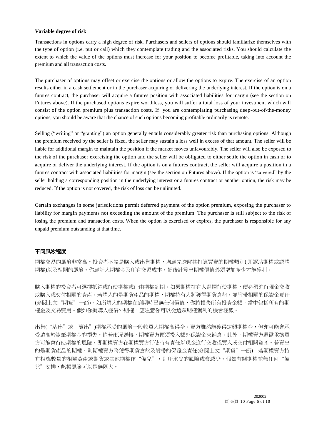#### **Variable degree of risk**

Transactions in options carry a high degree of risk. Purchasers and sellers of options should familiarize themselves with the type of option (i.e. put or call) which they contemplate trading and the associated risks. You should calculate the extent to which the value of the options must increase for your position to become profitable, taking into account the premium and all transaction costs.

The purchaser of options may offset or exercise the options or allow the options to expire. The exercise of an option results either in a cash settlement or in the purchaser acquiring or delivering the underlying interest. If the option is on a futures contract, the purchaser will acquire a futures position with associated liabilities for margin (see the section on Futures above). If the purchased options expire worthless, you will suffer a total loss of your investment which will consist of the option premium plus transaction costs. If you are contemplating purchasing deep-out-of-the-money options, you should be aware that the chance of such options becoming profitable ordinarily is remote.

Selling ("writing" or "granting") an option generally entails considerably greater risk than purchasing options. Although the premium received by the seller is fixed, the seller may sustain a loss well in excess of that amount. The seller will be liable for additional margin to maintain the position if the market moves unfavourably. The seller will also be exposed to the risk of the purchaser exercising the option and the seller will be obligated to either settle the option in cash or to acquire or deliver the underlying interest. If the option is on a futures contract, the seller will acquire a position in a futures contract with associated liabilities for margin (see the section on Futures above). If the option is "covered" by the seller holding a corresponding position in the underlying interest or a futures contract or another option, the risk may be reduced. If the option is not covered, the risk of loss can be unlimited.

Certain exchanges in some jurisdictions permit deferred payment of the option premium, exposing the purchaser to liability for margin payments not exceeding the amount of the premium. The purchaser is still subject to the risk of losing the premium and transaction costs. When the option is exercised or expires, the purchaser is responsible for any unpaid premium outstanding at that time.

### 不同風險程度

期權交易的風險非常高。投資者不論是購入或出售期權,均應先瞭解其打算買賣的期權類別( 即認沽期權或認購 期權)以及相關的風險。你應計入期權金及所有交易成本,然後計算出期權價值必須增加多少才能獲利。

購入期權的投資者可選擇抵銷或行使期權或任由期權到期。如果期權持有人選擇行使期權,便必須進行現金交收 或購入或交付相關的資產。若購入的是期貨產品的期權,期權持有人將獲得期貨倉盤,並附帶相關的保證金責任 (參閱上文"期貨"一節)。如所購入的期權在到期時已無任何價值,你將損失所有投資金額,當中包括所有的期 權金及交易費用。假如你擬購入極價外期權,應注意你可以從這類期權獲利的機會極微。

出售("沽出"或"賣出")期權承受的風險一般較買入期權高得多。賣方雖然能獲得定額期權金,但亦可能會承 受遠高於該筆期權金的損失。倘若市況逆轉,期權賣方便須投入額外保證金來補倉。此外,期權賣方還需承擔買 方可能會行使期權的風險,即期權賣方在期權買方行使時有責任以現金進行交收或買入或交付相關資產。若賣出 的是期貨產品的期權,則期權賣方將獲得期貨倉盤及附帶的保證金責任(參閱上文"期貨"一節)。若期權賣方持 有相應數量的相關資產或期貨或其他期權作"備兌",則所承受的風險或會減少。假如有關期權並無任何"備 兌"安排,虧損風險可以是無限大。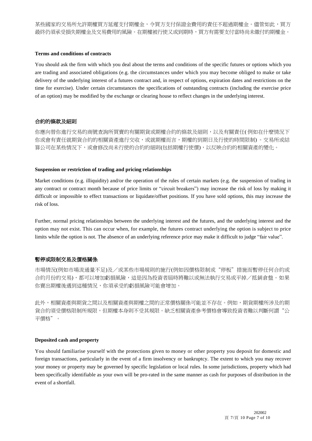某些國家的交易所允許期權買方延遲支付期權金,令買方支付保證金費用的責任不超過期權金。儘管如此,買方 最終仍須承受損失期權金及交易費用的風險。在期權被行使又或到期時,買方有需要支付當時尚未繳付的期權金。

#### **Terms and conditions of contracts**

You should ask the firm with which you deal about the terms and conditions of the specific futures or options which you are trading and associated obligations (e.g. the circumstances under which you may become obliged to make or take delivery of the underlying interest of a futures contract and, in respect of options, expiration dates and restrictions on the time for exercise). Under certain circumstances the specifications of outstanding contracts (including the exercise price of an option) may be modified by the exchange or clearing house to reflect changes in the underlying interest.

#### 合約的條款及細則

你應向替你進行交易的商號查詢所買賣的有關期貨或期權合約的條款及細則,以及有關責任(例如在什麼情況下 你或會有責任就期貨合約的相關資產進行交收,或就期權而言,期權的到期日及行使的時間限制)。交易所或結 算公司在某些情況下,或會修改尚未行使的合約的細則(包括期權行使價),以反映合約的相關資產的變化。

#### **Suspension or restriction of trading and pricing relationships**

Market conditions (e.g. illiquidity) and/or the operation of the rules of certain markets (e.g. the suspension of trading in any contract or contract month because of price limits or "circuit breakers") may increase the risk of loss by making it difficult or impossible to effect transactions or liquidate/offset positions. If you have sold options, this may increase the risk of loss.

Further, normal pricing relationships between the underlying interest and the futures, and the underlying interest and the option may not exist. This can occur when, for example, the futures contract underlying the option is subject to price limits while the option is not. The absence of an underlying reference price may make it difficult to judge "fair value".

### 暫停或限制交易及價格關係

市場情況(例如市場流通量不足)及/或某些市場規則的施行(例如因價格限制或"停板"措施而暫停任何合約或 合約月份的交易),都可以增加虧損風險,這是因為投資者屆時將難以或無法執行交易或平掉/抵銷倉盤。如果 你賣出期權後遇到這種情況,你須承受的虧損風險可能會增加。

此外,相關資產與期貨之間以及相關資產與期權之間的正常價格關係可能並不存在。例如,期貨期權所涉及的期 貨合約須受價格限制所規限,但期權本身則不受其規限。缺乏相關資產參考價格會導致投資者難以判斷何謂"公 平價格"。

#### **Deposited cash and property**

You should familiarise yourself with the protections given to money or other property you deposit for domestic and foreign transactions, particularly in the event of a firm insolvency or bankruptcy. The extent to which you may recover your money or property may be governed by specific legislation or local rules. In some jurisdictions, property which had been specifically identifiable as your own will be pro-rated in the same manner as cash for purposes of distribution in the event of a shortfall.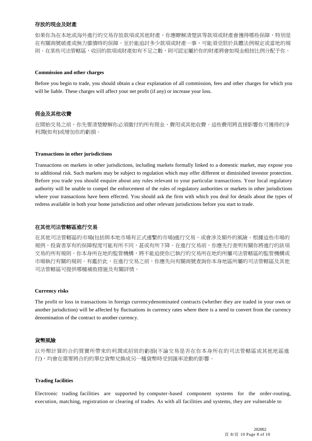## 存放的現金及財產

如果你為在本地或海外進行的交易存放款項或其他財產,你應瞭解清楚該等款項或財產會獲得哪些保障,特別是 在有關商號破產或無力償債時的保障。至於能追討多少款項或財產一事,可能須受限於具體法例規定或當地的規 則。在某些司法管轄區,收回的款項或財產如有不足之數,則可認定屬於你的財產將會如現金般按比例分配予你。

### **Commission and other charges**

Before you begin to trade, you should obtain a clear explanation of all commission, fees and other charges for which you will be liable. These charges will affect your net profit (if any) or increase your loss.

# 佣金及其他收費

在開始交易之前,你先要清楚瞭解你必須繳付的所有佣金、費用或其他收費。這些費用將直接影響你可獲得的淨 利潤(如有)或增加你的虧損。

### **Transactions in other jurisdictions**

Transactions on markets in other jurisdictions, including markets formally linked to a domestic market, may expose you to additional risk. Such markets may be subject to regulation which may offer different or diminished investor protection. Before you trade you should enquire about any rules relevant to your particular transactions. Your local regulatory authority will be unable to compel the enforcement of the rules of regulatory authorities or markets in other jurisdictions where your transactions have been effected. You should ask the firm with which you deal for details about the types of redress available in both your home jurisdiction and other relevant jurisdictions before you start to trade.

## 在其他司法管轄區進行交易

在其他司法管轄區的市場(包括與本地市場有正式連繫的市場)進行交易,或會涉及額外的風險。根據這些市場的 規例,投資者享有的保障程度可能有所不同,甚或有所下降。在進行交易前,你應先行查明有關你將進行的該項 交易的所有規則。你本身所在地的監管機構,將不能迫使你已執行的交易所在地的所屬司法管轄區的監管機構或 市場執行有關的規則。有鑑於此,在進行交易之前,你應先向有關商號查詢你本身地區所屬的司法管轄區及其他 司法管轄區可提供哪種補救措施及有關詳情。

#### **Currency risks**

The profit or loss in transactions in foreign currencydenominated contracts (whether they are traded in your own or another jurisdiction) will be affected by fluctuations in currency rates where there is a need to convert from the currency denomination of the contract to another currency.

## 貨幣風險

以外幣計算的合約買賣所帶來的利潤或招致的虧損(不論交易是否在你本身所在的司法管轄區或其他地區進 行),均會在需要將合約的單位貨幣兌換成另一種貨幣時受到匯率波動的影響。

### **Trading facilities**

Electronic trading facilities are supported by computer-based component systems for the order-routing, execution, matching, registration or clearing of trades. As with all facilities and systems, they are vulnerable to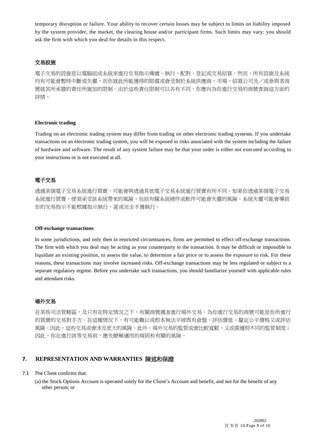temporary disruption or failure. Your ability to recover certain losses may be subject to limits on liability imposed by the system provider, the market, the clearing house and/or participant firms. Such limits may vary: you should ask the firm with which you deal for details in this respect.

## 交易設施

電子交易的設施是以電腦組成系統來進行交易指示傳遞、執行、配對、登記或交易結算。然而,所有設施及系統 均有可能會暫時中斷或失靈,而你就此所能獲得的賠償或會受制於系統供應商、市場、結算公司及/或參與者商 號就其所承擔的責任所施加的限制。由於這些責任限制可以各有不同,你應向為你進行交易的商號查詢這方面的 詳情。

### **Electronic trading**

Trading on an electronic trading system may differ from trading on other electronic trading systems. If you undertake transactions on an electronic trading system, you will be exposed to risks associated with the system including the failure of hardware and software. The result of any system failure may be that your order is either not executed according to your instructions or is not executed at all.

## 電子交易

透過某個電子交易系統進行買賣,可能會與透過其他電子交易系統進行買賣有所不同。如果你透過某個電子交易 系統進行買賣,便須承受該系統帶來的風險,包括有關系統硬件或軟件可能會失靈的風險。系統失靈可能會導致 你的交易指示不能根據指示執行,甚或完全不獲執行。

#### **Off-exchange transactions**

In some jurisdictions, and only then in restricted circumstances, firms are permitted to effect off-exchange transactions. The firm with which you deal may be acting as your counterparty to the transaction. It may be difficult or impossible to liquidate an existing position, to assess the value, to determine a fair price or to assess the exposure to risk. For these reasons, these transactions may involve increased risks. Off-exchange transactions may be less regulated or subject to a separate regulatory regime. Before you undertake such transactions, you should familiarize yourself with applicable rules and attendant risks.

#### 場外交易

在某些司法管轄區,及只有在特定情況之下,有關商號獲准進行場外交易。為你進行交易的商號可能是你所進行 的買賣的交易對手方。在這種情況下,有可能難以或根本無法平掉既有倉盤、評估價值、釐定公平價格又或評估 風險。因此,這些交易或會涉及更大的風險。此外,場外交易的監管或會比較寬鬆,又或需遵照不同的監管制度; 因此,你在進行該等交易前,應先瞭解適用的規則和有關的風險。

## **7. REPRESENTATION AND WARRANTIES** 陳述和保證

#### 7.1 The Client confirms that:

(a) the Stock Options Account is operated solely for the Client's Account and benefit, and not for the benefit of any other person; or